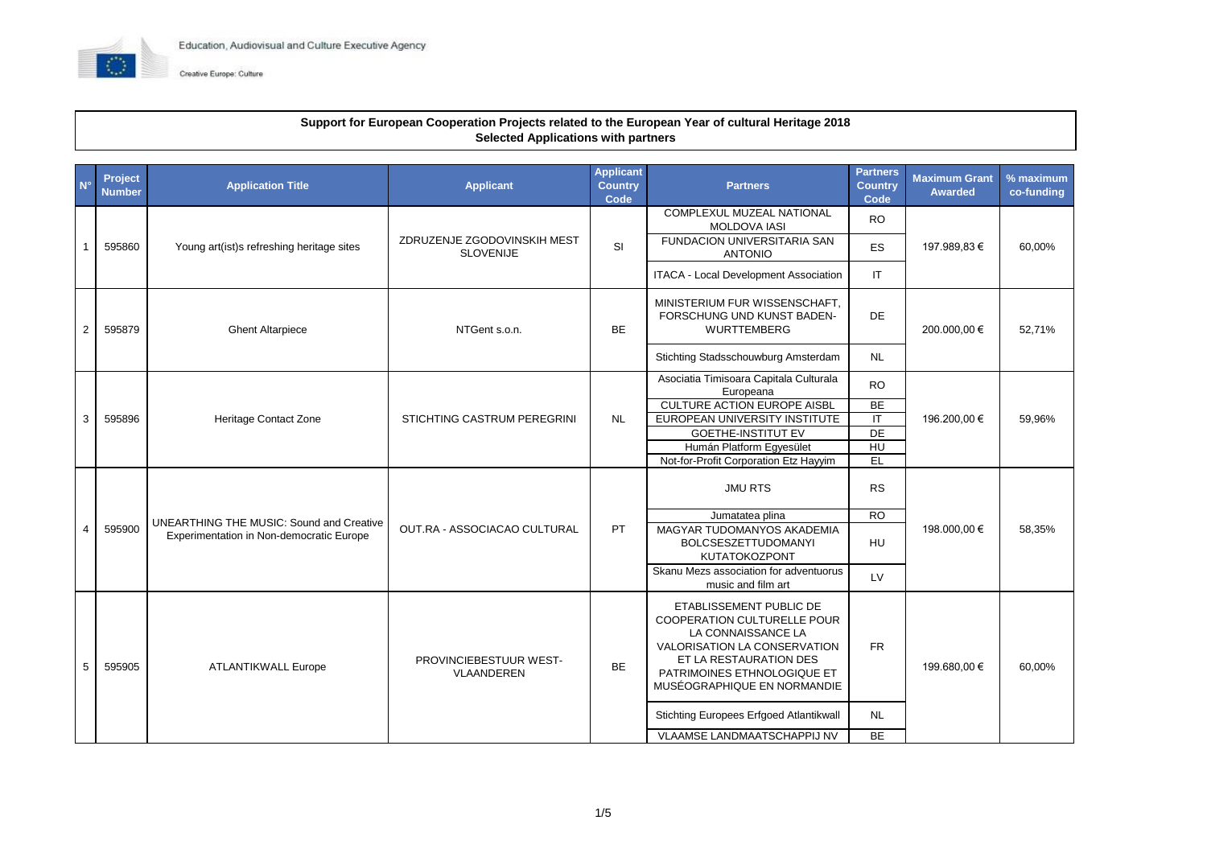

## **Support for European Cooperation Projects related to the European Year of cultural Heritage 2018 Selected Applications with partners**

| $N^{\circ}$     | Project<br><b>Number</b> | <b>Application Title</b>                                                                    | <b>Applicant</b>                                | <b>Applicant</b><br><b>Country</b><br><b>Code</b> | <b>Partners</b>                                                                                                                                                                                             | <b>Partners</b><br><b>Country</b><br>Code | <b>Maximum Grant</b><br><b>Awarded</b> | % maximum<br>co-funding |
|-----------------|--------------------------|---------------------------------------------------------------------------------------------|-------------------------------------------------|---------------------------------------------------|-------------------------------------------------------------------------------------------------------------------------------------------------------------------------------------------------------------|-------------------------------------------|----------------------------------------|-------------------------|
|                 | 595860                   | Young art(ist)s refreshing heritage sites                                                   | ZDRUZENJE ZGODOVINSKIH MEST<br><b>SLOVENIJE</b> | SI                                                | <b>COMPLEXUL MUZEAL NATIONAL</b><br><b>MOLDOVA IASI</b>                                                                                                                                                     | <b>RO</b>                                 | 197.989,83 €                           | 60,00%                  |
| $\overline{1}$  |                          |                                                                                             |                                                 |                                                   | FUNDACION UNIVERSITARIA SAN<br><b>ANTONIO</b>                                                                                                                                                               | ES                                        |                                        |                         |
|                 |                          |                                                                                             |                                                 |                                                   | <b>ITACA - Local Development Association</b>                                                                                                                                                                | IT.                                       |                                        |                         |
| $\overline{2}$  | 595879                   | <b>Ghent Altarpiece</b>                                                                     | NTGent s.o.n.                                   | <b>BE</b>                                         | MINISTERIUM FUR WISSENSCHAFT,<br>FORSCHUNG UND KUNST BADEN-<br><b>WURTTEMBERG</b>                                                                                                                           | DE                                        | 200.000,00 €                           | 52,71%                  |
|                 |                          |                                                                                             |                                                 |                                                   | Stichting Stadsschouwburg Amsterdam                                                                                                                                                                         | <b>NL</b>                                 |                                        |                         |
|                 |                          | Heritage Contact Zone                                                                       | STICHTING CASTRUM PEREGRINI                     |                                                   | Asociatia Timisoara Capitala Culturala<br>Europeana                                                                                                                                                         | <b>RO</b>                                 | 196.200,00 €                           | 59,96%                  |
|                 |                          |                                                                                             |                                                 |                                                   | <b>CULTURE ACTION EUROPE AISBL</b>                                                                                                                                                                          | <b>BE</b>                                 |                                        |                         |
| 3               | 595896                   |                                                                                             |                                                 | <b>NL</b>                                         | EUROPEAN UNIVERSITY INSTITUTE                                                                                                                                                                               | $\overline{\mathsf{I}\mathsf{T}}$         |                                        |                         |
|                 |                          |                                                                                             |                                                 |                                                   | <b>GOETHE-INSTITUT EV</b>                                                                                                                                                                                   | DE                                        |                                        |                         |
|                 |                          |                                                                                             |                                                 |                                                   | Humán Platform Egyesület                                                                                                                                                                                    | H <sub>U</sub>                            |                                        |                         |
|                 |                          |                                                                                             |                                                 |                                                   | Not-for-Profit Corporation Etz Hayyim                                                                                                                                                                       | E                                         |                                        |                         |
|                 |                          | <b>UNEARTHING THE MUSIC: Sound and Creative</b><br>Experimentation in Non-democratic Europe | OUT.RA - ASSOCIACAO CULTURAL                    | PT                                                | <b>JMU RTS</b>                                                                                                                                                                                              | <b>RS</b>                                 | 198.000,00 €                           | 58,35%                  |
|                 |                          |                                                                                             |                                                 |                                                   | Jumatatea plina                                                                                                                                                                                             | RO                                        |                                        |                         |
| $\overline{4}$  | 595900                   |                                                                                             |                                                 |                                                   | MAGYAR TUDOMANYOS AKADEMIA<br><b>BOLCSESZETTUDOMANYI</b><br><b>KUTATOKOZPONT</b>                                                                                                                            | <b>HU</b>                                 |                                        |                         |
|                 |                          |                                                                                             |                                                 |                                                   | Skanu Mezs association for adventuorus<br>music and film art                                                                                                                                                | LV                                        |                                        |                         |
| $5\overline{)}$ | 595905                   | <b>ATLANTIKWALL Europe</b>                                                                  | PROVINCIEBESTUUR WEST-<br>VLAANDEREN            | <b>BE</b>                                         | ETABLISSEMENT PUBLIC DE<br><b>COOPERATION CULTURELLE POUR</b><br>LA CONNAISSANCE LA<br>VALORISATION LA CONSERVATION<br>ET LA RESTAURATION DES<br>PATRIMOINES ETHNOLOGIQUE ET<br>MUSÉOGRAPHIQUE EN NORMANDIE | <b>FR</b>                                 | 199.680,00 €                           | 60,00%                  |
|                 |                          |                                                                                             |                                                 |                                                   | Stichting Europees Erfgoed Atlantikwall                                                                                                                                                                     | <b>NL</b>                                 |                                        |                         |
|                 |                          |                                                                                             |                                                 |                                                   | VLAAMSE LANDMAATSCHAPPIJ NV                                                                                                                                                                                 | BE                                        |                                        |                         |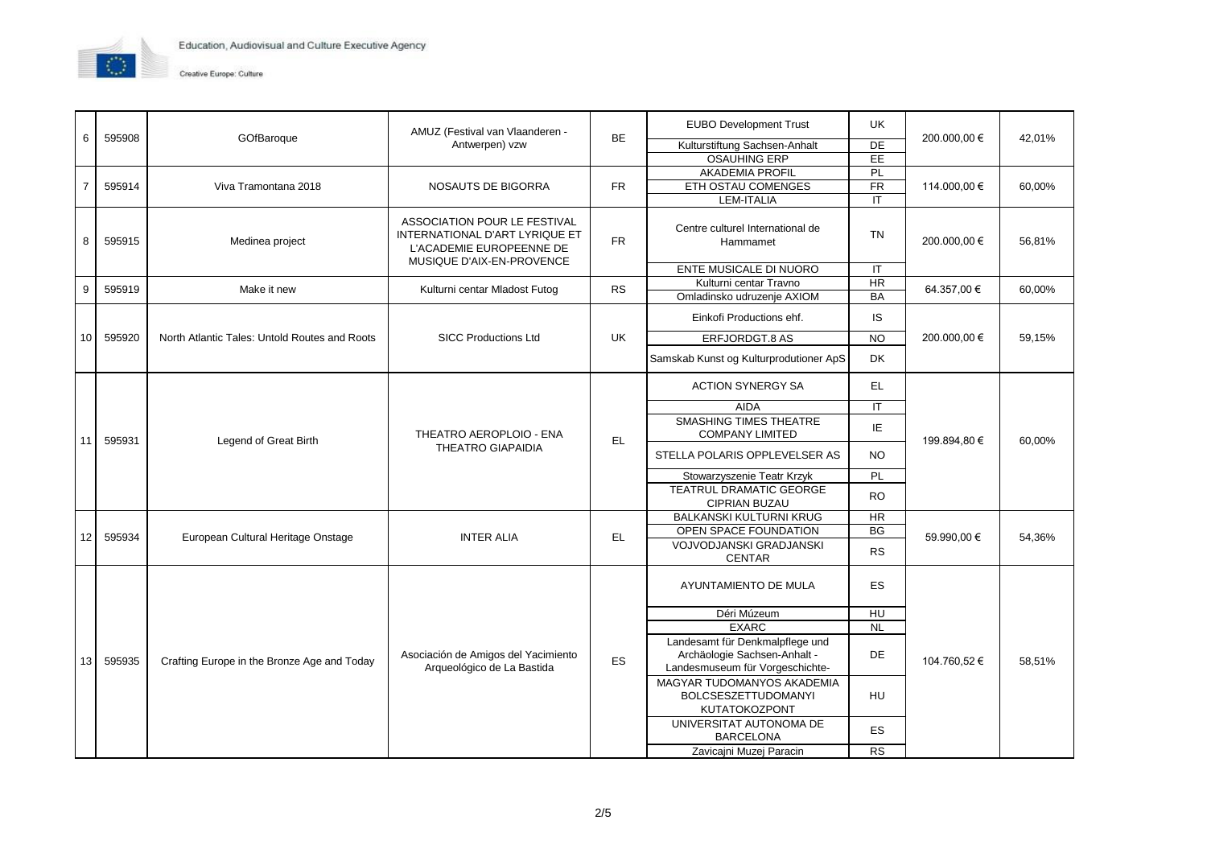

| 6               | 595908 | GOfBaroque                                    | AMUZ (Festival van Vlaanderen -<br>Antwerpen) vzw                                                                       | <b>BE</b>  | <b>EUBO Development Trust</b><br>Kulturstiftung Sachsen-Anhalt | <b>UK</b><br>DE          | 200.000,00 € | 42,01% |
|-----------------|--------|-----------------------------------------------|-------------------------------------------------------------------------------------------------------------------------|------------|----------------------------------------------------------------|--------------------------|--------------|--------|
|                 |        |                                               |                                                                                                                         |            | <b>OSAUHING ERP</b>                                            | E                        |              |        |
|                 |        |                                               |                                                                                                                         |            | <b>AKADEMIA PROFIL</b>                                         | PL                       |              |        |
| $\overline{7}$  | 595914 | Viva Tramontana 2018                          | NOSAUTS DE BIGORRA                                                                                                      | ${\sf FR}$ | ETH OSTAU COMENGES                                             | $\overline{FR}$          | 114.000,00 € | 60,00% |
|                 |        |                                               |                                                                                                                         |            | LEM-ITALIA                                                     | <b>IT</b>                |              |        |
| 8               | 595915 | Medinea project                               | ASSOCIATION POUR LE FESTIVAL<br>INTERNATIONAL D'ART LYRIQUE ET<br>L'ACADEMIE EUROPEENNE DE<br>MUSIQUE D'AIX-EN-PROVENCE | ${\sf FR}$ | Centre culturel International de<br>Hammamet                   | <b>TN</b>                | 200.000,00 € | 56,81% |
|                 |        |                                               |                                                                                                                         |            | ENTE MUSICALE DI NUORO                                         | IT                       |              |        |
| 9               | 595919 | Make it new                                   | Kulturni centar Mladost Futog                                                                                           | <b>RS</b>  | Kulturni centar Travno                                         | HR                       | 64.357,00 €  | 60,00% |
|                 |        |                                               |                                                                                                                         |            | Omladinsko udruzenje AXIOM                                     | <b>BA</b>                |              |        |
|                 |        |                                               |                                                                                                                         |            | Einkofi Productions ehf.                                       | IS                       |              |        |
| 10 <sup>1</sup> | 595920 | North Atlantic Tales: Untold Routes and Roots | <b>SICC Productions Ltd</b>                                                                                             | UK         | ERFJORDGT.8 AS                                                 | <b>NO</b>                | 200.000,00 € | 59,15% |
|                 |        |                                               |                                                                                                                         |            | Samskab Kunst og Kulturprodutioner ApS                         | DK                       |              |        |
|                 |        | Legend of Great Birth                         | THEATRO AEROPLOIO - ENA<br><b>THEATRO GIAPAIDIA</b>                                                                     | EL         | <b>ACTION SYNERGY SA</b>                                       | <b>EL</b>                | 199.894,80 € | 60,00% |
|                 | 595931 |                                               |                                                                                                                         |            | <b>AIDA</b>                                                    | IT                       |              |        |
| 11              |        |                                               |                                                                                                                         |            | <b>SMASHING TIMES THEATRE</b><br><b>COMPANY LIMITED</b>        | IE                       |              |        |
|                 |        |                                               |                                                                                                                         |            | STELLA POLARIS OPPLEVELSER AS                                  | <b>NO</b>                |              |        |
|                 |        |                                               |                                                                                                                         |            | Stowarzyszenie Teatr Krzyk                                     | PL                       |              |        |
|                 |        |                                               |                                                                                                                         |            | TEATRUL DRAMATIC GEORGE                                        | <b>RO</b>                |              |        |
|                 |        |                                               |                                                                                                                         |            | <b>CIPRIAN BUZAU</b>                                           |                          |              |        |
|                 |        | European Cultural Heritage Onstage            | <b>INTER ALIA</b>                                                                                                       | <b>EL</b>  | <b>BALKANSKI KULTURNI KRUG</b>                                 | $\overline{\mathsf{HR}}$ |              |        |
| 12              | 595934 |                                               |                                                                                                                         |            | OPEN SPACE FOUNDATION<br>VOJVODJANSKI GRADJANSKI               | BG                       | 59.990,00 €  | 54,36% |
|                 |        |                                               |                                                                                                                         |            | <b>CENTAR</b>                                                  | <b>RS</b>                |              |        |
|                 |        |                                               |                                                                                                                         |            | AYUNTAMIENTO DE MULA                                           | <b>ES</b>                |              |        |
|                 |        |                                               |                                                                                                                         |            | Déri Múzeum                                                    | HU                       |              |        |
|                 |        |                                               |                                                                                                                         |            | <b>EXARC</b>                                                   | <b>NL</b>                |              |        |
|                 |        |                                               |                                                                                                                         |            | Landesamt für Denkmalpflege und                                |                          |              |        |
| 13              | 595935 | Crafting Europe in the Bronze Age and Today   | Asociación de Amigos del Yacimiento                                                                                     | ES         | Archäologie Sachsen-Anhalt -                                   | DE                       | 104.760,52 € | 58,51% |
|                 |        |                                               | Arqueológico de La Bastida                                                                                              |            | Landesmuseum für Vorgeschichte-                                |                          |              |        |
|                 |        |                                               |                                                                                                                         |            | MAGYAR TUDOMANYOS AKADEMIA                                     | HU                       |              |        |
|                 |        |                                               |                                                                                                                         |            | <b>BOLCSESZETTUDOMANYI</b>                                     |                          |              |        |
|                 |        |                                               |                                                                                                                         |            | KUTATOKOZPONT                                                  |                          |              |        |
|                 |        |                                               |                                                                                                                         |            | UNIVERSITAT AUTONOMA DE<br><b>BARCELONA</b>                    | ES                       |              |        |
|                 |        |                                               |                                                                                                                         |            | Zavicajni Muzej Paracin                                        | RS                       |              |        |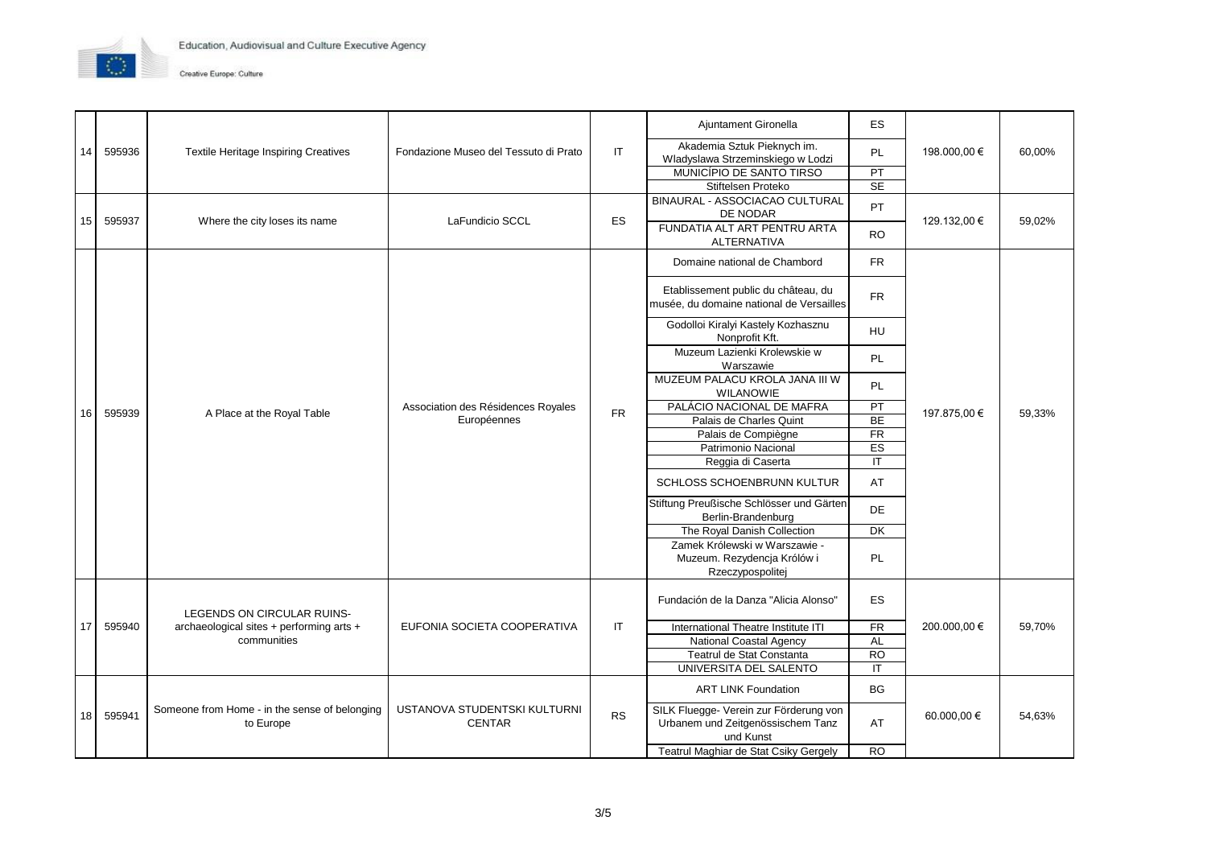

|    |        |                                                                                       |                                                   |                        | Ajuntament Gironella                                                                     | ES        |              |        |
|----|--------|---------------------------------------------------------------------------------------|---------------------------------------------------|------------------------|------------------------------------------------------------------------------------------|-----------|--------------|--------|
| 14 | 595936 | <b>Textile Heritage Inspiring Creatives</b>                                           | Fondazione Museo del Tessuto di Prato             | $\mathsf{I}\mathsf{T}$ | Akademia Sztuk Pieknych im.<br>Wladyslawa Strzeminskiego w Lodzi                         | PL        | 198.000,00 € | 60,00% |
|    |        |                                                                                       |                                                   |                        | MUNICÍPIO DE SANTO TIRSO                                                                 | PT        |              |        |
|    |        |                                                                                       |                                                   |                        | Stiftelsen Proteko                                                                       | <b>SE</b> |              |        |
| 15 | 595937 | Where the city loses its name                                                         | LaFundicio SCCL                                   | ES                     | BINAURAL - ASSOCIACAO CULTURAL<br>DE NODAR                                               | PT        | 129.132,00 € | 59,02% |
|    |        |                                                                                       |                                                   |                        | FUNDATIA ALT ART PENTRU ARTA<br><b>ALTERNATIVA</b>                                       | <b>RO</b> |              |        |
|    |        |                                                                                       |                                                   |                        | Domaine national de Chambord                                                             | <b>FR</b> |              |        |
|    |        |                                                                                       |                                                   |                        | Etablissement public du château, du<br>musée, du domaine national de Versailles          | <b>FR</b> |              |        |
|    |        |                                                                                       |                                                   |                        | Godolloi Kiralyi Kastely Kozhasznu<br>Nonprofit Kft.                                     | HU        |              | 59,33% |
|    | 595939 | A Place at the Royal Table                                                            | Association des Résidences Royales<br>Européennes | <b>FR</b>              | Muzeum Lazienki Krolewskie w<br>Warszawie                                                | PL        | 197.875,00 € |        |
|    |        |                                                                                       |                                                   |                        | MUZEUM PALACU KROLA JANA III W<br><b>WILANOWIE</b>                                       | PL.       |              |        |
|    |        |                                                                                       |                                                   |                        | PALÁCIO NACIONAL DE MAFRA                                                                | PT        |              |        |
| 16 |        |                                                                                       |                                                   |                        | Palais de Charles Quint                                                                  | <b>BE</b> |              |        |
|    |        |                                                                                       |                                                   |                        | Palais de Compiègne                                                                      | <b>FR</b> |              |        |
|    |        |                                                                                       |                                                   |                        | Patrimonio Nacional                                                                      | ES        |              |        |
|    |        |                                                                                       |                                                   |                        | Reggia di Caserta                                                                        | IT        |              |        |
|    |        |                                                                                       |                                                   |                        | SCHLOSS SCHOENBRUNN KULTUR                                                               | AT        |              |        |
|    |        |                                                                                       |                                                   |                        | Stiftung Preußische Schlösser und Gärten<br>Berlin-Brandenburg                           | DE        |              |        |
|    |        |                                                                                       |                                                   |                        | The Royal Danish Collection                                                              | <b>DK</b> |              |        |
|    |        |                                                                                       |                                                   |                        | Zamek Królewski w Warszawie -                                                            |           |              |        |
|    |        |                                                                                       |                                                   |                        | Muzeum. Rezydencja Królów i<br>Rzeczypospolitej                                          | PL        |              |        |
|    |        | LEGENDS ON CIRCULAR RUINS-<br>archaeological sites + performing arts +<br>communities |                                                   | $\mathsf{I}\mathsf{T}$ | Fundación de la Danza "Alicia Alonso"                                                    | ES        |              |        |
| 17 | 595940 |                                                                                       | EUFONIA SOCIETA COOPERATIVA                       |                        | International Theatre Institute ITI                                                      | <b>FR</b> | 200.000,00 € | 59,70% |
|    |        |                                                                                       |                                                   |                        | <b>National Coastal Agency</b>                                                           | AL        |              |        |
|    |        |                                                                                       |                                                   |                        | Teatrul de Stat Constanta                                                                | <b>RO</b> |              |        |
|    |        |                                                                                       |                                                   |                        | UNIVERSITA DEL SALENTO                                                                   | IT        |              |        |
|    |        | Someone from Home - in the sense of belonging<br><b>CENTAR</b><br>to Europe           |                                                   |                        | <b>ART LINK Foundation</b>                                                               | BG        | 60.000,00 €  | 54,63% |
| 18 | 595941 |                                                                                       | USTANOVA STUDENTSKI KULTURNI                      | <b>RS</b>              | SILK Fluegge- Verein zur Förderung von<br>Urbanem und Zeitgenössischem Tanz<br>und Kunst | AT        |              |        |
|    |        |                                                                                       |                                                   |                        | Teatrul Maghiar de Stat Csiky Gergely                                                    | RO        |              |        |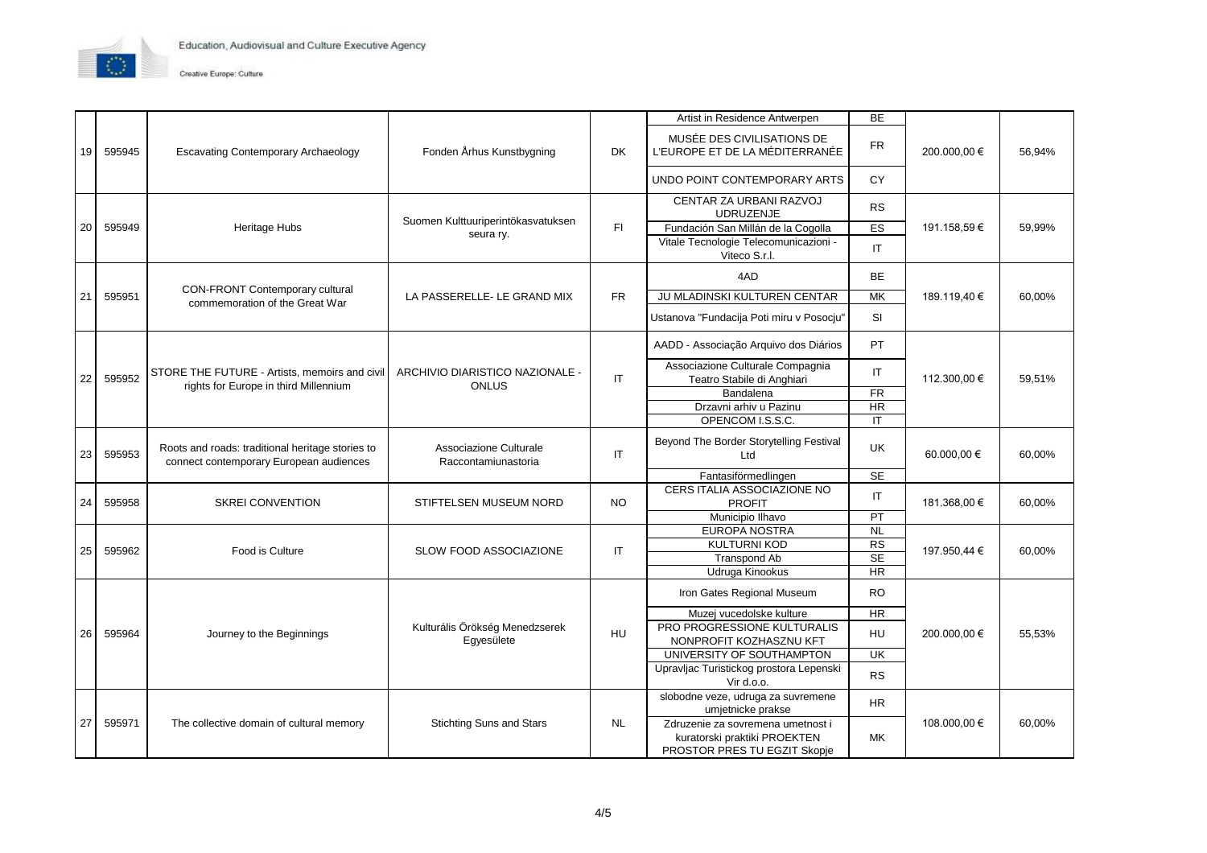

|    |        |                                                                                             |                                                 |                | Artist in Residence Antwerpen                                                                     | <b>BE</b>              |              |        |
|----|--------|---------------------------------------------------------------------------------------------|-------------------------------------------------|----------------|---------------------------------------------------------------------------------------------------|------------------------|--------------|--------|
| 19 | 595945 | <b>Escavating Contemporary Archaeology</b>                                                  | Fonden Århus Kunstbygning                       | DK             | MUSÉE DES CIVILISATIONS DE<br>L'EUROPE ET DE LA MÉDITERRANÉE                                      | <b>FR</b>              | 200.000,00 € | 56,94% |
|    |        |                                                                                             |                                                 |                | UNDO POINT CONTEMPORARY ARTS                                                                      | <b>CY</b>              |              |        |
|    | 595949 | Heritage Hubs                                                                               | Suomen Kulttuuriperintökasvatuksen              | F <sub>l</sub> | CENTAR ZA URBANI RAZVOJ<br><b>UDRUZENJE</b>                                                       | <b>RS</b>              | 191.158,59€  | 59,99% |
| 20 |        |                                                                                             |                                                 |                | Fundación San Millán de la Cogolla                                                                | ES                     |              |        |
|    |        |                                                                                             | seura ry.                                       |                | Vitale Tecnologie Telecomunicazioni -<br>Viteco S.r.l.                                            | $\mathsf{I}\mathsf{T}$ |              |        |
|    |        |                                                                                             |                                                 |                | 4AD                                                                                               | <b>BE</b>              |              |        |
| 21 | 595951 | <b>CON-FRONT Contemporary cultural</b><br>commemoration of the Great War                    | LA PASSERELLE-LE GRAND MIX                      | <b>FR</b>      | JU MLADINSKI KULTUREN CENTAR                                                                      | M <sub>K</sub>         | 189.119,40 € | 60,00% |
|    |        |                                                                                             |                                                 |                | Ustanova "Fundacija Poti miru v Posocju"                                                          | SI                     |              |        |
|    |        |                                                                                             |                                                 |                | AADD - Associação Arquivo dos Diários                                                             | PT                     | 112.300,00 € | 59,51% |
| 22 | 595952 | STORE THE FUTURE - Artists, memoirs and civil<br>rights for Europe in third Millennium      | ARCHIVIO DIARISTICO NAZIONALE -<br><b>ONLUS</b> | IT             | Associazione Culturale Compagnia<br>Teatro Stabile di Anghiari                                    | <b>IT</b>              |              |        |
|    |        |                                                                                             |                                                 |                | Bandalena                                                                                         | FR                     |              |        |
|    |        |                                                                                             |                                                 |                | Drzavni arhiv u Pazinu                                                                            | $\overline{HR}$        |              |        |
|    |        |                                                                                             |                                                 |                | OPENCOM I.S.S.C.                                                                                  | $\mathsf{I}\mathsf{T}$ |              |        |
| 23 | 595953 | Roots and roads: traditional heritage stories to<br>connect contemporary European audiences | Associazione Culturale<br>Raccontamiunastoria   | IT             | Beyond The Border Storytelling Festival<br>Ltd                                                    | <b>UK</b>              | 60.000,00 €  | 60,00% |
|    |        |                                                                                             |                                                 |                | Fantasiförmedlingen                                                                               | SE                     |              |        |
| 24 | 595958 | <b>SKREI CONVENTION</b>                                                                     | STIFTELSEN MUSEUM NORD                          | <b>NO</b>      | CERS ITALIA ASSOCIAZIONE NO<br><b>PROFIT</b>                                                      | IT                     | 181.368,00 € | 60,00% |
|    |        |                                                                                             |                                                 |                | Municipio Ilhavo                                                                                  | PT                     |              |        |
|    |        | Food is Culture                                                                             | SLOW FOOD ASSOCIAZIONE                          |                | EUROPA NOSTRA                                                                                     | <b>NL</b>              |              | 60,00% |
| 25 | 595962 |                                                                                             |                                                 | IT             | <b>KULTURNI KOD</b>                                                                               | <b>RS</b>              | 197.950,44 € |        |
|    |        |                                                                                             |                                                 |                | <b>Transpond Ab</b>                                                                               | SE                     |              |        |
|    |        |                                                                                             |                                                 |                | Udruga Kinookus                                                                                   | $\overline{HR}$        |              |        |
|    |        |                                                                                             |                                                 |                | Iron Gates Regional Museum                                                                        | <b>RO</b>              |              |        |
|    |        | Journey to the Beginnings                                                                   |                                                 | HU             | Muzej vucedolske kulture                                                                          | $\overline{HR}$        |              |        |
| 26 | 595964 |                                                                                             | Kulturális Örökség Menedzserek<br>Egyesülete    |                | PRO PROGRESSIONE KULTURALIS<br>NONPROFIT KOZHASZNU KFT                                            | HU                     | 200.000,00 € | 55,53% |
|    |        |                                                                                             |                                                 |                | UNIVERSITY OF SOUTHAMPTON                                                                         | <b>UK</b>              |              |        |
|    |        |                                                                                             |                                                 |                | Upravljac Turistickog prostora Lepenski<br>Vir d.o.o.                                             | <b>RS</b>              |              |        |
|    |        |                                                                                             |                                                 |                | slobodne veze, udruga za suvremene<br>umjetnicke prakse                                           | <b>HR</b>              |              |        |
| 27 | 595971 | The collective domain of cultural memory                                                    | <b>Stichting Suns and Stars</b>                 | <b>NL</b>      | Zdruzenie za sovremena umetnost i<br>kuratorski praktiki PROEKTEN<br>PROSTOR PRES TU EGZIT Skopje | МK                     | 108.000,00 € | 60,00% |